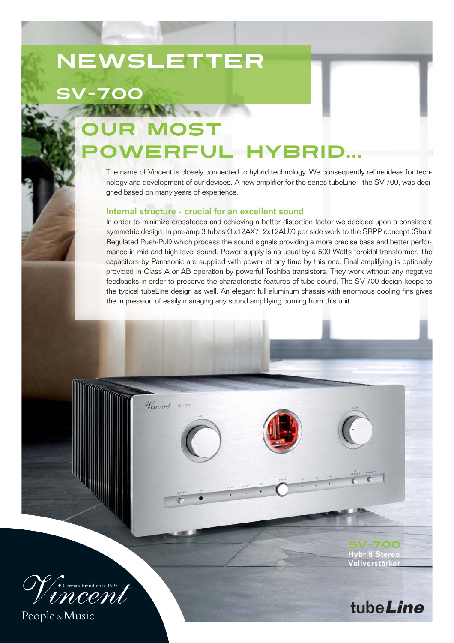## **NEWSLETTER**

SV-700

## DST powerful hybrid...

The name of Vincent is closely connected to hybrid technology. We consequently refine ideas for technology and development of our devices. A new amplifier for the series tubeLine - the SV-700, was designed based on many years of experience.

## Internal structure - crucial for an excellent sound

Vincent sv-70

In order to minimize crossfeeds and achieving a better distortion factor we decided upon a consistent symmetric design. In pre-amp 3 tubes (1x12AX7, 2x12AU7) per side work to the SRPP concept (Shunt Regulated Push-Pull) which process the sound signals providing a more precise bass and better performance in mid and high level sound. Power supply is as usual by a 500 Watts toroidal transformer. The capacitors by Panasonic are supplied with power at any time by this one. Final amplifying is optionally provided in Class A or AB operation by powerful Toshiba transistors. They work without any negative feedbacks in order to preserve the characteristic features of tube sound. The SV-700 design keeps to the typical tubeLine design as well. An elegant full aluminum chassis with enormous cooling fins gives the impression of easily managing any sound amplifying coming from this unit.



People &Music

SV-700 Hybrid Stereo Vollverstärker

tube**Line**